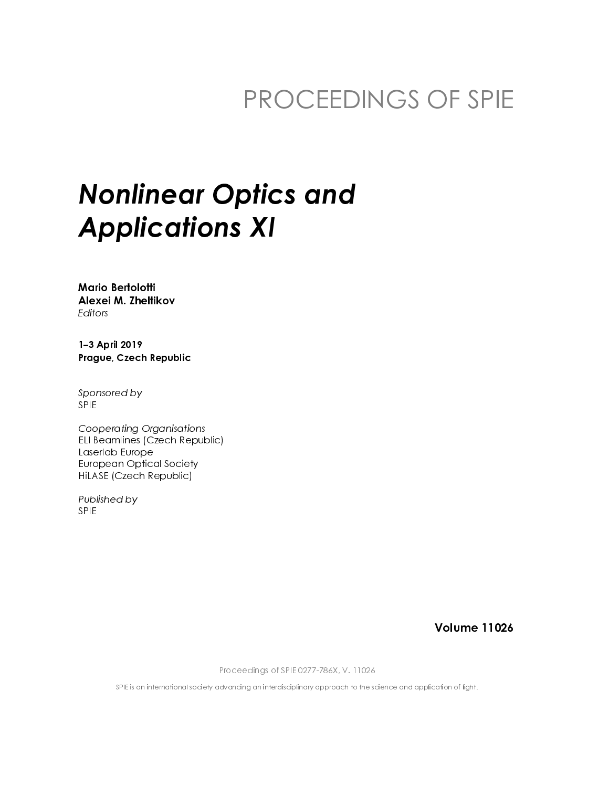### PROCEEDINGS OF SPIE

### **Nonlinear Optics and Applications XI**

**Mario Bertolotti** Alexei M. Zhellikov Editors

1-3 April 2019 Prague, Czech Republic

Sponsored by **SPIE** 

**Cooperating Organisations** ELI Beamlines (Czech Republic) Laserlab Europe **European Optical Society** HiLASE (Czech Republic)

Published by **SPIE** 

**Volume 11026** 

Proceedings of SPIE 0277-786X, V. 11026

SPIE is an international society advancing an interdisciplinary approach to the science and application of light.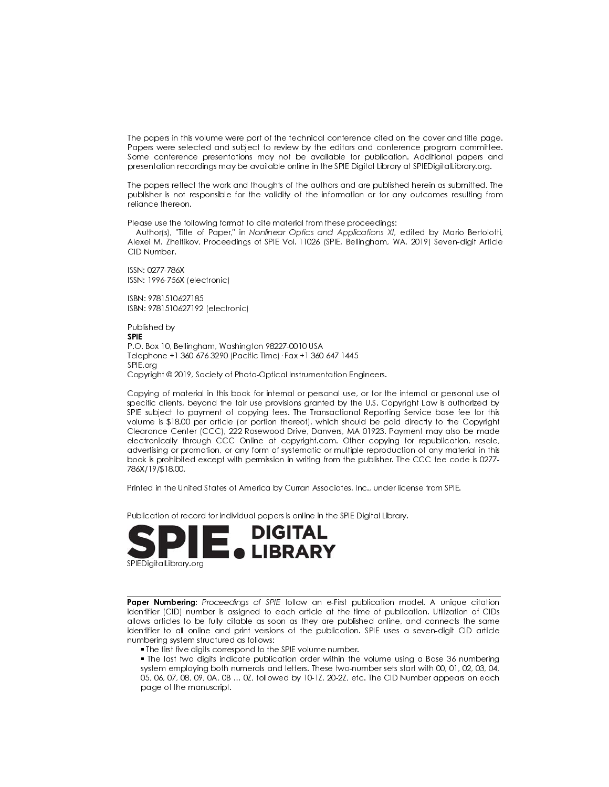The papers in this volume were part of the technical conference cited on the cover and title page. Papers were selected and subject to review by the editors and conference program committee. Some conference presentations may not be available for publication. Additional papers and presentation recordings may be available online in the SPIE Digital Library at SPIEDigital Library org.

The papers reflect the work and thoughts of the authors and are published herein as submitted. The publisher is not responsible for the validity of the information or for any outcomes resulting from reliance thereon.

Please use the following format to cite material from these proceedings:

Author(s), 'Title of Paper," in Nonlinear Optics and Applications XI, edited by Mario Bertolotti, Alexei M. Zheltikov, Proceedings of SPIE Vol. 11026 (SPIE, Bellingham, WA, 2019) Seven-digit Article CID Number.

ISSN: 0277-786X ISSN: 1996-756X (electronic)

ISBN: 9781510627185 ISBN: 9781510627192 (electronic)

Published by **SPIF** P.O. Box 10, Bellingham, Washington 98227-0010 USA Telephone +1 360 676 3290 (Pacific Time) · Fax +1 360 647 1445 SPIE.org Copyright © 2019, Society of Photo-Optical Instrumentation Engineers.

Copying of material in this book for internal or personal use, or for the internal or personal use of specific clients, beyond the fair use provisions granted by the U.S. Copyright Law is authorized by SPIE subject to payment of copying fees. The Transactional Reporting Service base fee for this volume is \$18.00 per article (or portion thereof), which should be paid directly to the Copyright Clearance Center (CCC), 222 Rosewood Drive, Danvers, MA 01923. Payment may also be made electronically through CCC Online at copyright.com. Other copying for republication, resale, advertising or promotion, or any form of systematic or multiple reproduction of any material in this book is prohibited except with permission in writing from the publisher. The CCC fee code is 0277-786X/19/\$18.00.

Printed in the United States of America by Curran Associates, Inc., under license from SPIE.

Publication of record for individual papers is online in the SPIE Digital Library.



Paper Numbering: Proceedings of SPIE follow an e-First publication model. A unique citation identifier (CID) number is assigned to each article at the time of publication. Utilization of CIDs allows articles to be fully citable as soon as they are published online, and connects the same identifier to all online and print versions of the publication. SPIE uses a seven-digit CID article numbering system structured as follows:

. The first five digits correspond to the SPIE volume number.

• The last two digits indicate publication order within the volume using a Base 36 numbering system employing both numerals and letters. These two-number sets start with 00, 01, 02, 03, 04, 05, 06, 07, 08, 09, 0A, 0B ... 0Z, followed by 10-1Z, 20-2Z, etc. The CID Number appears on each page of the manuscript.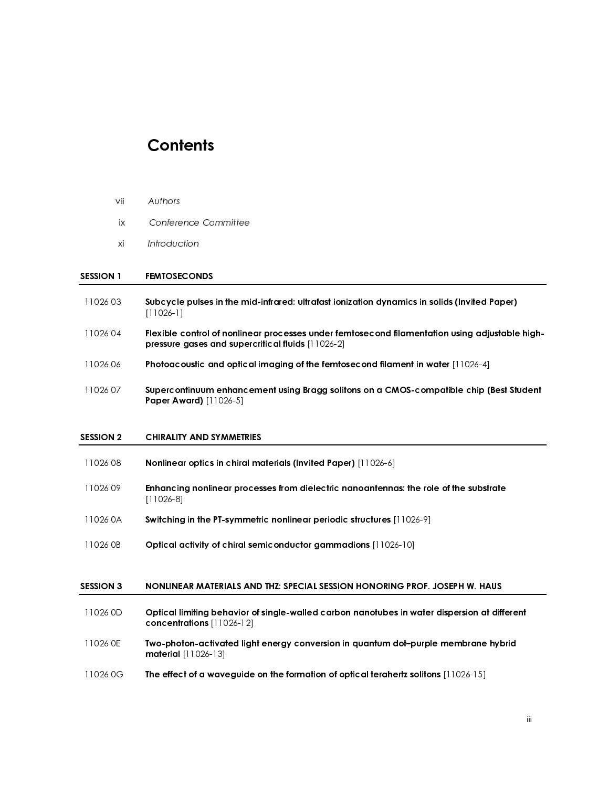### **Contents**

- 
- 

# $\frac{1}{2}$  $\frac{1}{2}$ SESSION 1 FEMTOSECONDS

- 
- 
- 
- ix Confere<br>
xi Introduc<br>
SESSION 1 FEMTOSE<br>
11026 03 Subcycle<br>
11026 04 Flexible (<br>
pressure<br>
11026 06 Photoace<br>
11026 07 Supercol<br>
Paper Av<br>
SESSION 2 CHIRALIT xi Introduction<br>
SESSION 1 FEMTOSECONDS<br>
11026 03 Subcycle pulses in the min<br>
11026 04 Flexible control of nonline<br>
pressure gases and super<br>
11026 06 Photoacoustic and optica<br>
11026 07 Supercontinuum enhance<br>
Paper Award) SESSION 1 FEMTOSECON<br>
11026 03 Subcycle pul:<br>
[11026-1]<br>
11026 04 Flexible contr<br>
pressure gase<br>
11026 06 Photoacoustic<br>
11026 07 Supercontinu<br>
Paper Award<br>
SESSION 2 CHIRALITY AN<br>
11026 08 Nonlinear opt<br>
11026 09 Enhancin 11026 03 Subcycle pulses in the mid-infrared: ultrafast ionization dynamics in solids (Invited Paper)<br>
11026 -11<br>
11026 -11<br>
11026 06 Pressure gases and supercritical fluids  $[11026-2]$ <br>
Photoacoustic and optical imaging Flexible c<br>Flexible c<br>pressure g<br>Photoaco<br>Supercon<br>Paper Aw<br>CHIRALITY<br>Nonlinear<br>Enhancing<br>Il 1026-8]<br>Switching<br>Optical a Flexible control of nonlinear processes under femtosecond filamentation using adjustable high-<br>pressure gases and supercritical fluids [11026-2]<br>11026 07<br>Supercontinuum enhancement using Bragg solitors on a CMOS-compatible pressure gases and supercritical fluids [11026-2]<br>Photoacoustic and optical imaging of the femto<br>Supercontinuum enhancement using Bragg solit<br>Paper Award) [11026-5]<br>CHIRALITY AND SYMMETRIES<br>Nonlinear optics in chiral mater 11026 06 Photoacoustic and optical imaging of the femtosecond filament in water  $[11026-4]$ <br>
11026 07 Supercontinuum enhancement using Bragg solitons on a CMOS-compatible chip (<br>
11026 08 CHIRALITY AND SYMMETRIES<br>
11026 0 Supercontinuum enhancement using Bragg solitons on a CMOS-compatible chip (Best Student<br>
Proper Award) [11026-5]<br>
SESSION 2 CHIRALITY AND SYMMETRIES<br>
Nonlinear optics in chiral materials (Invited Paper) [11026-6]<br>
11026 09

## SESSION 2 CHIRALITY AND SYMMETRIES

| 1102608 |  | Nonlinear optics in chiral materials (Invited Paper) [11026-6] |
|---------|--|----------------------------------------------------------------|
|---------|--|----------------------------------------------------------------|

- 
- 
- 

### SESSION 3 NONLINEAR MATERIALS AND THZ: SPECIAL SESSION HONORING PROF. JOSEPH W. HAUS

- Paper Award) [11026-5]<br>CHIRALITY AND SYMMET<br>Nonlinear optics in chira<br>Enhancing nonlinear pro<br>Enhancing nonlinear pro<br>Switching in the PT-symr<br>Optical activity of chiral<br>NONLINEAR MATERIALS<br>Optical limiting behavio<br>Concent Monlinear optics in chiral materials (Invited Paper) [11026-6]<br>
11026 09<br> **Enhancing nonlinear processes from dielectric nanoantenna**<br>
11026 0A<br> **Switching in the PT-symmetric nonlinear periodic structures**<br>
11026 0B<br> **Opt** Enhancing nonlinear processes from dielectric nanoantennas: the role of the substrate<br>
11026-8]<br>
11026 08 Switching in the PT-symmetric nonlinear periodic structures [11026-9]<br>
11026 08 Optical activity of chiral semicondu Switching<br>Switching<br>Optical a<br>NONLINE<br>Optical lir<br>Optical lir<br>The effect<br>The effect Switching in the PT-symmetric nonlinear periodic structures [11026-9]<br>
11026 0B Optical activity of chiral semiconductor gammadions [11026-10]<br>
SESSION 3 NONLINEAR MATERIALS AND THZ: SPECIAL SESSION HONORING PROF.<br>
Optical Optical activity of chiral semiconductor gammadions [11026-10]<br>
SESSION 3 NONLINEAR MATERIALS AND THZ: SPECIAL SESSION HONORING PR<br>
Optical limiting behavior of single-walled carbon nanotubes in w<br>
concentrations [11026-12 0026 0D Optical limiting behavior of single-walled carbon nanotubes in water dispersion at different<br>
concentrations  $[11026-12]$ <br>
11026 0E Two-photon-activated light energy conversion in quantum dot-purple membrane hybri
- concentrations [11026-12]<br>Two-photon-activated ligh<br>material [11026-13]<br>The effect of a waveguide<br>The effect of a waveguide 11026 0E Two-photon-activated light energy conversion in quantum dot-purple membrane hybrid<br>material [11026-13]<br>11026 0G The effect of a waveguide on the formation of optical terahertz solitons [11026-15] material [11026-13]<br>The effect of a wave<br>
- 11026 0G  $\,$  The effect of a waveguide on the formation of optical terahertz solitons  $[11026\text{-}15]$ <br> $\,$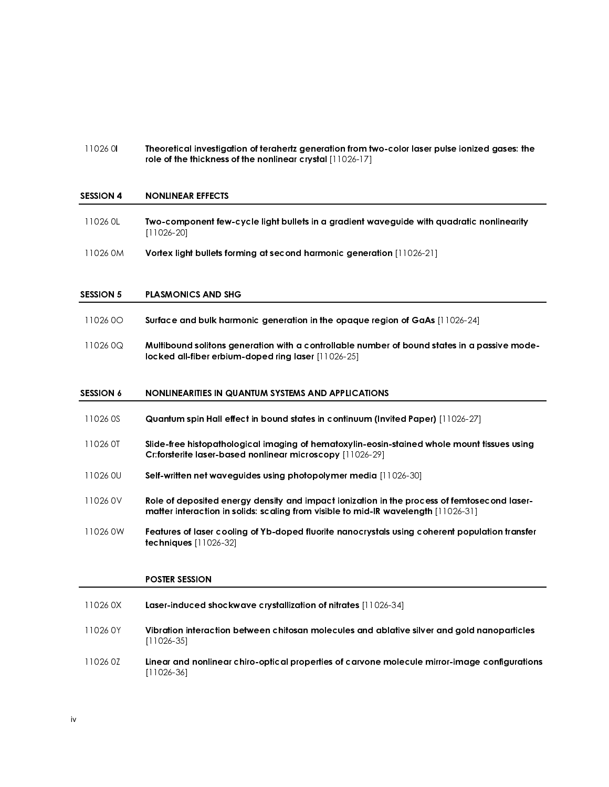11026 0 **Theoretical investigation of terahertz generation from two-color laser pulse ionized gases: the** role of the thickness of the nonlinear crystal [11026-17]

### j SESSION 4 NONLINEAR EFFECTS

- 11026 0L Two-component few-cycle light bullets in a gradient waveguide with quadratic nonlinearity [11026-20]
- 11026 0M Vortex light bullets forming at second harmonic generation [11026-21]

### j SESSION 5 PLASMONICS AND SHG

- 11026 0O Surface and bulk harmonic generation in the opaque region of GaAs [11026-24]
- 11026 0Q Multibound solitons generation with a controllable number of bound states in a passive modelocked all-fiber erbium-doped ring laser [11026-25]

#### j SESSION 6 NONLINEARITIES IN QUANTUM SYSTEMS AND APPLICATIONS

- 11026 0S Quantum spin Hall effect in bound states in continuum (Invited Paper) [11026-27]
- 11026 0T Slide-free histopathological imaging of hematoxylin-eosin-stained whole mount tissues using Cr:forsterite laser-based nonlinear microscopy [11026-29]
- 11026 0U Self-written net waveguides using photopolymer media [11026-30]
- 11026 0V Role of deposited energy density and impact ionization in the process of femtosecond lasermatter interaction in solids: scaling from visible to mid-IR wavelength [11026-31]
- 11026 0W Features of laser cooling of Yb-doped fluorite nanocrystals using coherent population transfer techniques [11026-32]

### POSTER SESSION

| 11026 OX | Laser-induced shockwave crystallization of nitrates [11026-34]                                              |
|----------|-------------------------------------------------------------------------------------------------------------|
| 11026 OY | Vibration interaction between chitosan molecules and ablative silver and gold nanoparticles<br>[11026-35]   |
| 11026 OZ | Linear and nonlinear chiro-optical properties of carvone molecule mirror-image configurations<br>[11026-36] |

j